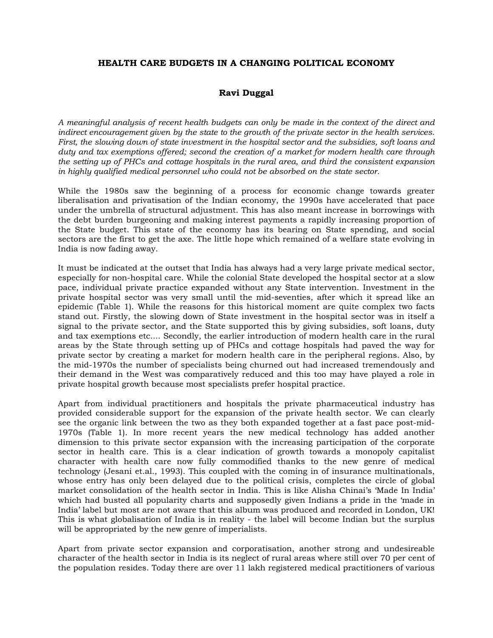## **HEALTH CARE BUDGETS IN A CHANGING POLITICAL ECONOMY**

# **Ravi Duggal**

*A meaningful analysis of recent health budgets can only be made in the context of the direct and indirect encouragement given by the state to the growth of the private sector in the health services. First, the slowing down of state investment in the hospital sector and the subsidies, soft loans and duty and tax exemptions offered; second the creation of a market for modern health care through the setting up of PHCs and cottage hospitals in the rural area, and third the consistent expansion in highly qualified medical personnel who could not be absorbed on the state sector.* 

While the 1980s saw the beginning of a process for economic change towards greater liberalisation and privatisation of the Indian economy, the 1990s have accelerated that pace under the umbrella of structural adjustment. This has also meant increase in borrowings with the debt burden burgeoning and making interest payments a rapidly increasing proportion of the State budget. This state of the economy has its bearing on State spending, and social sectors are the first to get the axe. The little hope which remained of a welfare state evolving in India is now fading away.

It must be indicated at the outset that India has always had a very large private medical sector, especially for non-hospital care. While the colonial State developed the hospital sector at a slow pace, individual private practice expanded without any State intervention. Investment in the private hospital sector was very small until the mid-seventies, after which it spread like an epidemic (Table 1). While the reasons for this historical moment are quite complex two facts stand out. Firstly, the slowing down of State investment in the hospital sector was in itself a signal to the private sector, and the State supported this by giving subsidies, soft loans, duty and tax exemptions etc.... Secondly, the earlier introduction of modern health care in the rural areas by the State through setting up of PHCs and cottage hospitals had paved the way for private sector by creating a market for modern health care in the peripheral regions. Also, by the mid-1970s the number of specialists being churned out had increased tremendously and their demand in the West was comparatively reduced and this too may have played a role in private hospital growth because most specialists prefer hospital practice.

Apart from individual practitioners and hospitals the private pharmaceutical industry has provided considerable support for the expansion of the private health sector. We can clearly see the organic link between the two as they both expanded together at a fast pace post-mid-1970s (Table 1). In more recent years the new medical technology has added another dimension to this private sector expansion with the increasing participation of the corporate sector in health care. This is a clear indication of growth towards a monopoly capitalist character with health care now fully commodified thanks to the new genre of medical technology (Jesani et.al., 1993). This coupled with the coming in of insurance multinationals, whose entry has only been delayed due to the political crisis, completes the circle of global market consolidation of the health sector in India. This is like Alisha Chinai's 'Made In India' which had busted all popularity charts and supposedly given Indians a pride in the 'made in India' label but most are not aware that this album was produced and recorded in London, UK! This is what globalisation of India is in reality - the label will become Indian but the surplus will be appropriated by the new genre of imperialists.

Apart from private sector expansion and corporatisation, another strong and undesireable character of the health sector in India is its neglect of rural areas where still over 70 per cent of the population resides. Today there are over 11 lakh registered medical practitioners of various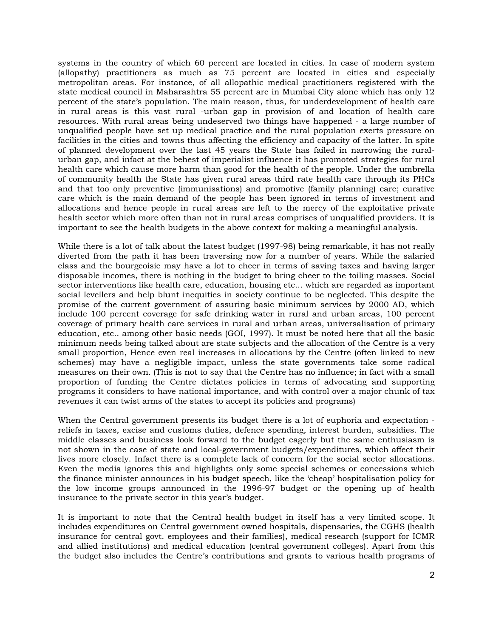systems in the country of which 60 percent are located in cities. In case of modern system (allopathy) practitioners as much as 75 percent are located in cities and especially metropolitan areas. For instance, of all allopathic medical practitioners registered with the state medical council in Maharashtra 55 percent are in Mumbai City alone which has only 12 percent of the state's population. The main reason, thus, for underdevelopment of health care in rural areas is this vast rural -urban gap in provision of and location of health care resources. With rural areas being undeserved two things have happened - a large number of unqualified people have set up medical practice and the rural population exerts pressure on facilities in the cities and towns thus affecting the efficiency and capacity of the latter. In spite of planned development over the last 45 years the State has failed in narrowing the ruralurban gap, and infact at the behest of imperialist influence it has promoted strategies for rural health care which cause more harm than good for the health of the people. Under the umbrella of community health the State has given rural areas third rate health care through its PHCs and that too only preventive (immunisations) and promotive (family planning) care; curative care which is the main demand of the people has been ignored in terms of investment and allocations and hence people in rural areas are left to the mercy of the exploitative private health sector which more often than not in rural areas comprises of unqualified providers. It is important to see the health budgets in the above context for making a meaningful analysis.

While there is a lot of talk about the latest budget (1997-98) being remarkable, it has not really diverted from the path it has been traversing now for a number of years. While the salaried class and the bourgeoisie may have a lot to cheer in terms of saving taxes and having larger disposable incomes, there is nothing in the budget to bring cheer to the toiling masses. Social sector interventions like health care, education, housing etc... which are regarded as important social levellers and help blunt inequities in society continue to be neglected. This despite the promise of the current government of assuring basic minimum services by 2000 AD, which include 100 percent coverage for safe drinking water in rural and urban areas, 100 percent coverage of primary health care services in rural and urban areas, universalisation of primary education, etc.. among other basic needs (GOI, 1997). It must be noted here that all the basic minimum needs being talked about are state subjects and the allocation of the Centre is a very small proportion, Hence even real increases in allocations by the Centre (often linked to new schemes) may have a negligible impact, unless the state governments take some radical measures on their own. (This is not to say that the Centre has no influence; in fact with a small proportion of funding the Centre dictates policies in terms of advocating and supporting programs it considers to have national importance, and with control over a major chunk of tax revenues it can twist arms of the states to accept its policies and programs)

When the Central government presents its budget there is a lot of euphoria and expectation reliefs in taxes, excise and customs duties, defence spending, interest burden, subsidies. The middle classes and business look forward to the budget eagerly but the same enthusiasm is not shown in the case of state and local-government budgets/expenditures, which affect their lives more closely. Infact there is a complete lack of concern for the social sector allocations. Even the media ignores this and highlights only some special schemes or concessions which the finance minister announces in his budget speech, like the 'cheap' hospitalisation policy for the low income groups announced in the 1996-97 budget or the opening up of health insurance to the private sector in this year's budget.

It is important to note that the Central health budget in itself has a very limited scope. It includes expenditures on Central government owned hospitals, dispensaries, the CGHS (health insurance for central govt. employees and their families), medical research (support for ICMR and allied institutions) and medical education (central government colleges). Apart from this the budget also includes the Centre's contributions and grants to various health programs of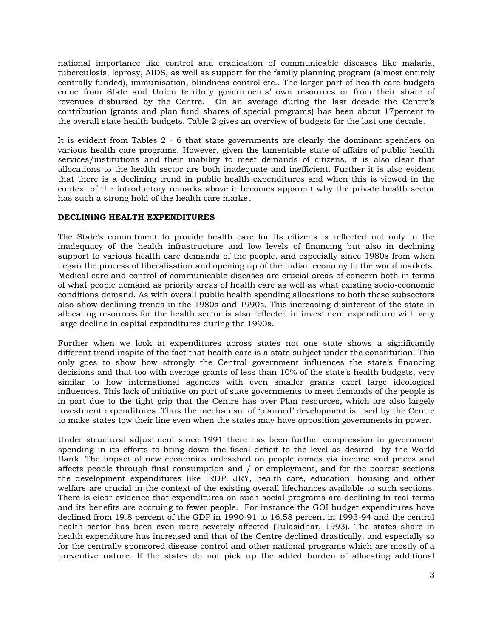national importance like control and eradication of communicable diseases like malaria, tuberculosis, leprosy, AIDS, as well as support for the family planning program (almost entirely centrally funded), immunisation, blindness control etc.. The larger part of health care budgets come from State and Union territory governments' own resources or from their share of revenues disbursed by the Centre. On an average during the last decade the Centre's contribution (grants and plan fund shares of special programs) has been about 17percent to the overall state health budgets. Table 2 gives an overview of budgets for the last one decade.

It is evident from Tables 2 - 6 that state governments are clearly the dominant spenders on various health care programs. However, given the lamentable state of affairs of public health services/institutions and their inability to meet demands of citizens, it is also clear that allocations to the health sector are both inadequate and inefficient. Further it is also evident that there is a declining trend in public health expenditures and when this is viewed in the context of the introductory remarks above it becomes apparent why the private health sector has such a strong hold of the health care market.

### **DECLINING HEALTH EXPENDITURES**

The State's commitment to provide health care for its citizens is reflected not only in the inadequacy of the health infrastructure and low levels of financing but also in declining support to various health care demands of the people, and especially since 1980s from when began the process of liberalisation and opening up of the Indian economy to the world markets. Medical care and control of communicable diseases are crucial areas of concern both in terms of what people demand as priority areas of health care as well as what existing socio-economic conditions demand. As with overall public health spending allocations to both these subsectors also show declining trends in the 1980s and 1990s. This increasing disinterest of the state in allocating resources for the health sector is also reflected in investment expenditure with very large decline in capital expenditures during the 1990s.

Further when we look at expenditures across states not one state shows a significantly different trend inspite of the fact that health care is a state subject under the constitution! This only goes to show how strongly the Central government influences the state's financing decisions and that too with average grants of less than 10% of the state's health budgets, very similar to how international agencies with even smaller grants exert large ideological influences. This lack of initiative on part of state governments to meet demands of the people is in part due to the tight grip that the Centre has over Plan resources, which are also largely investment expenditures. Thus the mechanism of 'planned' development is used by the Centre to make states tow their line even when the states may have opposition governments in power.

Under structural adjustment since 1991 there has been further compression in government spending in its efforts to bring down the fiscal deficit to the level as desired by the World Bank. The impact of new economics unleashed on people comes via income and prices and affects people through final consumption and / or employment, and for the poorest sections the development expenditures like IRDP, JRY, health care, education, housing and other welfare are crucial in the context of the existing overall lifechances available to such sections. There is clear evidence that expenditures on such social programs are declining in real terms and its benefits are accruing to fewer people. For instance the GOI budget expenditures have declined from 19.8 percent of the GDP in 1990-91 to 16.58 percent in 1993-94 and the central health sector has been even more severely affected (Tulasidhar, 1993). The states share in health expenditure has increased and that of the Centre declined drastically, and especially so for the centrally sponsored disease control and other national programs which are mostly of a preventive nature. If the states do not pick up the added burden of allocating additional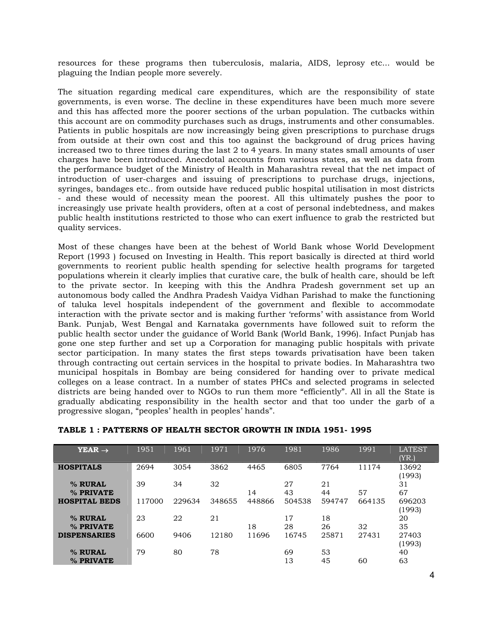resources for these programs then tuberculosis, malaria, AIDS, leprosy etc... would be plaguing the Indian people more severely.

The situation regarding medical care expenditures, which are the responsibility of state governments, is even worse. The decline in these expenditures have been much more severe and this has affected more the poorer sections of the urban population. The cutbacks within this account are on commodity purchases such as drugs, instruments and other consumables. Patients in public hospitals are now increasingly being given prescriptions to purchase drugs from outside at their own cost and this too against the background of drug prices having increased two to three times during the last 2 to 4 years. In many states small amounts of user charges have been introduced. Anecdotal accounts from various states, as well as data from the performance budget of the Ministry of Health in Maharashtra reveal that the net impact of introduction of user-charges and issuing of prescriptions to purchase drugs, injections, syringes, bandages etc.. from outside have reduced public hospital utilisation in most districts - and these would of necessity mean the poorest. All this ultimately pushes the poor to increasingly use private health providers, often at a cost of personal indebtedness, and makes public health institutions restricted to those who can exert influence to grab the restricted but quality services.

Most of these changes have been at the behest of World Bank whose World Development Report (1993 ) focused on Investing in Health. This report basically is directed at third world governments to reorient public health spending for selective health programs for targeted populations wherein it clearly implies that curative care, the bulk of health care, should be left to the private sector. In keeping with this the Andhra Pradesh government set up an autonomous body called the Andhra Pradesh Vaidya Vidhan Parishad to make the functioning of taluka level hospitals independent of the government and flexible to accommodate interaction with the private sector and is making further 'reforms' with assistance from World Bank. Punjab, West Bengal and Karnataka governments have followed suit to reform the public health sector under the guidance of World Bank (World Bank, 1996). Infact Punjab has gone one step further and set up a Corporation for managing public hospitals with private sector participation. In many states the first steps towards privatisation have been taken through contracting out certain services in the hospital to private bodies. In Maharashtra two municipal hospitals in Bombay are being considered for handing over to private medical colleges on a lease contract. In a number of states PHCs and selected programs in selected districts are being handed over to NGOs to run them more "efficiently". All in all the State is gradually abdicating responsibility in the health sector and that too under the garb of a progressive slogan, "peoples' health in peoples' hands".

| $YEAR \rightarrow$   | 1951   | 1961   | 1971   | 1976   | 1981   | 1986   | 1991   | <b>LATEST</b> |
|----------------------|--------|--------|--------|--------|--------|--------|--------|---------------|
|                      |        |        |        |        |        |        |        | (YR.)         |
| <b>HOSPITALS</b>     | 2694   | 3054   | 3862   | 4465   | 6805   | 7764   | 11174  | 13692         |
|                      |        |        |        |        |        |        |        | (1993)        |
| % RURAL              | 39     | 34     | 32     |        | 27     | 21     |        | 31            |
| % PRIVATE            |        |        |        | 14     | 43     | 44     | 57     | 67            |
| <b>HOSPITAL BEDS</b> | 117000 | 229634 | 348655 | 448866 | 504538 | 594747 | 664135 | 696203        |
|                      |        |        |        |        |        |        |        | (1993)        |
| % RURAL              | 23     | 22     | 21     |        | 17     | 18     |        | 20            |
| % PRIVATE            |        |        |        | 18     | 28     | 26     | 32     | 35            |
| <b>DISPENSARIES</b>  | 6600   | 9406   | 12180  | 11696  | 16745  | 25871  | 27431  | 27403         |
|                      |        |        |        |        |        |        |        | (1993)        |
| % RURAL              | 79     | 80     | 78     |        | 69     | 53     |        | 40            |
| % PRIVATE            |        |        |        |        | 13     | 45     | 60     | 63            |

#### **TABLE 1 : PATTERNS OF HEALTH SECTOR GROWTH IN INDIA 1951- 1995**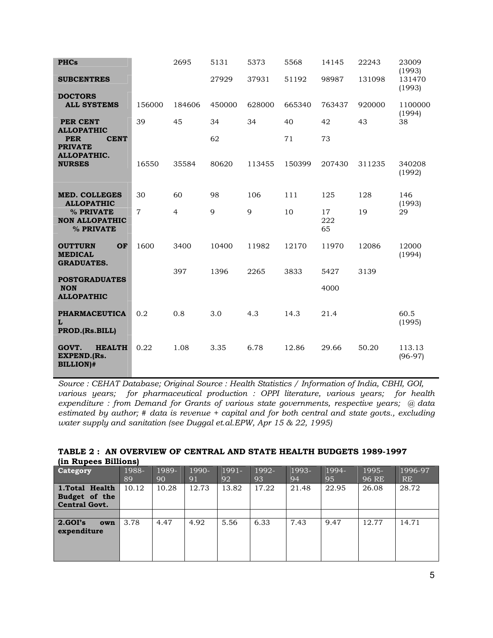| <b>PHCs</b>                                                       |                | 2695           | 5131   | 5373   | 5568   | 14145           | 22243  | 23009<br>(1993)     |
|-------------------------------------------------------------------|----------------|----------------|--------|--------|--------|-----------------|--------|---------------------|
| <b>SUBCENTRES</b>                                                 |                |                | 27929  | 37931  | 51192  | 98987           | 131098 | 131470<br>(1993)    |
| <b>DOCTORS</b><br><b>ALL SYSTEMS</b>                              | 156000         | 184606         | 450000 | 628000 | 665340 | 763437          | 920000 | 1100000<br>(1994)   |
| <b>PER CENT</b><br><b>ALLOPATHIC</b>                              | 39             | 45             | 34     | 34     | 40     | 42              | 43     | 38                  |
| <b>PER</b><br><b>CENT</b><br><b>PRIVATE</b><br><b>ALLOPATHIC.</b> |                |                | 62     |        | 71     | 73              |        |                     |
| <b>NURSES</b>                                                     | 16550          | 35584          | 80620  | 113455 | 150399 | 207430          | 311235 | 340208<br>(1992)    |
| <b>MED. COLLEGES</b><br><b>ALLOPATHIC</b>                         | 30             | 60             | 98     | 106    | 111    | 125             | 128    | 146<br>(1993)       |
| % PRIVATE<br><b>NON ALLOPATHIC</b><br>% PRIVATE                   | $\overline{7}$ | $\overline{4}$ | 9      | 9      | 10     | 17<br>222<br>65 | 19     | 29                  |
| OF<br><b>OUTTURN</b><br><b>MEDICAL</b><br><b>GRADUATES.</b>       | 1600           | 3400           | 10400  | 11982  | 12170  | 11970           | 12086  | 12000<br>(1994)     |
| <b>POSTGRADUATES</b>                                              |                | 397            | 1396   | 2265   | 3833   | 5427            | 3139   |                     |
| <b>NON</b><br><b>ALLOPATHIC</b>                                   |                |                |        |        |        | 4000            |        |                     |
| <b>PHARMACEUTICA</b><br>L<br>PROD.(Rs.BILL)                       | 0.2            | 0.8            | 3.0    | 4.3    | 14.3   | 21.4            |        | 60.5<br>(1995)      |
| GOVT.<br><b>HEALTH</b><br><b>EXPEND.(Rs.</b><br><b>BILLION)#</b>  | 0.22           | 1.08           | 3.35   | 6.78   | 12.86  | 29.66           | 50.20  | 113.13<br>$(96-97)$ |

*Source : CEHAT Database; Original Source : Health Statistics / Information of India, CBHI, GOI, various years; for pharmaceutical production : OPPI literature, various years; for health expenditure : from Demand for Grants of various state governments, respective years; @ data estimated by author; # data is revenue + capital and for both central and state govts., excluding water supply and sanitation (see Duggal et.al.EPW, Apr 15 & 22, 1995)* 

|                      |  |  |  | TABLE 2: AN OVERVIEW OF CENTRAL AND STATE HEALTH BUDGETS 1989-1997 |
|----------------------|--|--|--|--------------------------------------------------------------------|
| (in Rupees Billions) |  |  |  |                                                                    |

| <b>Category</b>                                         | 1988-<br>89 | 1989-<br>90 | 1990-<br>91 | $1991 -$<br>92 | 1992-<br>93 | 1993-<br>94 | 1994-<br>95 | 1995-<br>96 RE | 1996-97<br><b>RE</b> |
|---------------------------------------------------------|-------------|-------------|-------------|----------------|-------------|-------------|-------------|----------------|----------------------|
| 1.Total Health<br>Budget of the<br><b>Central Govt.</b> | 10.12       | 10.28       | 12.73       | 13.82          | 17.22       | 21.48       | 22.95       | 26.08          | 28.72                |
|                                                         |             |             |             |                |             |             |             |                |                      |
| $\overline{2.GOI's}$<br>own<br>expenditure              | 3.78        | 4.47        | 4.92        | 5.56           | 6.33        | 7.43        | 9.47        | 12.77          | 14.71                |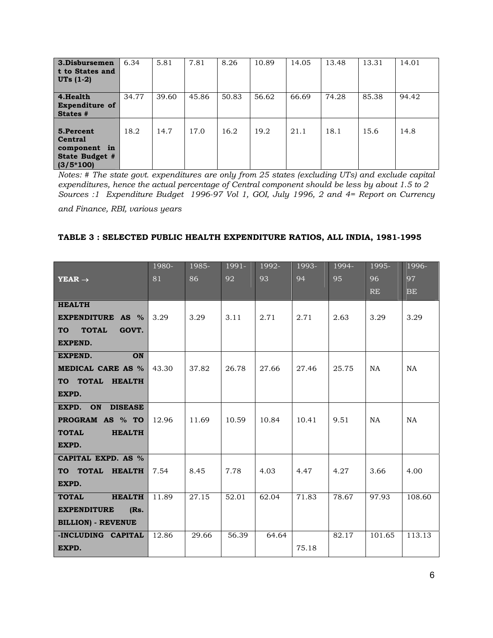| 3.Disbursemen<br>t to States and<br>$UTs(1-2)$                               | 6.34  | 5.81  | 7.81  | 8.26  | 10.89 | 14.05 | 13.48 | 13.31 | 14.01 |
|------------------------------------------------------------------------------|-------|-------|-------|-------|-------|-------|-------|-------|-------|
| 4.Health<br><b>Expenditure of</b><br>States #                                | 34.77 | 39.60 | 45.86 | 50.83 | 56.62 | 66.69 | 74.28 | 85.38 | 94.42 |
| 5.Percent<br><b>Central</b><br>component in<br>State Budget #<br>$(3/5*100)$ | 18.2  | 14.7  | 17.0  | 16.2  | 19.2  | 21.1  | 18.1  | 15.6  | 14.8  |

*Notes: # The state govt. expenditures are only from 25 states (excluding UTs) and exclude capital expenditures, hence the actual percentage of Central component should be less by about 1.5 to 2 Sources :1 Expenditure Budget 1996-97 Vol 1, GOI, July 1996, 2 and 4= Report on Currency* 

*and Finance, RBI, various years* 

## **TABLE 3 : SELECTED PUBLIC HEALTH EXPENDITURE RATIOS, ALL INDIA, 1981-1995**

|                                    | 1980- | 1985- | 1991- | 1992- | 1993- | 1994- | 1995-     | 1996-  |
|------------------------------------|-------|-------|-------|-------|-------|-------|-----------|--------|
| $YEAR \rightarrow$                 | 81    | 86    | 92    | 93    | 94    | 95    | 96        | 97     |
|                                    |       |       |       |       |       |       | <b>RE</b> | BE     |
| <b>HEALTH</b>                      |       |       |       |       |       |       |           |        |
| <b>EXPENDITURE AS %</b>            | 3.29  | 3.29  | 3.11  | 2.71  | 2.71  | 2.63  | 3.29      | 3.29   |
| <b>TOTAL</b><br>GOVT.<br><b>TO</b> |       |       |       |       |       |       |           |        |
| <b>EXPEND.</b>                     |       |       |       |       |       |       |           |        |
| <b>EXPEND.</b><br>ON               |       |       |       |       |       |       |           |        |
| MEDICAL CARE AS %                  | 43.30 | 37.82 | 26.78 | 27.66 | 27.46 | 25.75 | NA        | NA     |
| TO TOTAL HEALTH                    |       |       |       |       |       |       |           |        |
| EXPD.                              |       |       |       |       |       |       |           |        |
| EXPD. ON DISEASE                   |       |       |       |       |       |       |           |        |
| PROGRAM AS % TO                    | 12.96 | 11.69 | 10.59 | 10.84 | 10.41 | 9.51  | NA        | NA     |
| <b>TOTAL</b><br><b>HEALTH</b>      |       |       |       |       |       |       |           |        |
| EXPD.                              |       |       |       |       |       |       |           |        |
| CAPITAL EXPD. AS %                 |       |       |       |       |       |       |           |        |
| TO TOTAL HEALTH                    | 7.54  | 8.45  | 7.78  | 4.03  | 4.47  | 4.27  | 3.66      | 4.00   |
| EXPD.                              |       |       |       |       |       |       |           |        |
| <b>HEALTH</b><br><b>TOTAL</b>      | 11.89 | 27.15 | 52.01 | 62.04 | 71.83 | 78.67 | 97.93     | 108.60 |
| <b>EXPENDITURE</b><br>(Rs.         |       |       |       |       |       |       |           |        |
| <b>BILLION) - REVENUE</b>          |       |       |       |       |       |       |           |        |
| -INCLUDING CAPITAL                 | 12.86 | 29.66 | 56.39 | 64.64 |       | 82.17 | 101.65    | 113.13 |
| EXPD.                              |       |       |       |       | 75.18 |       |           |        |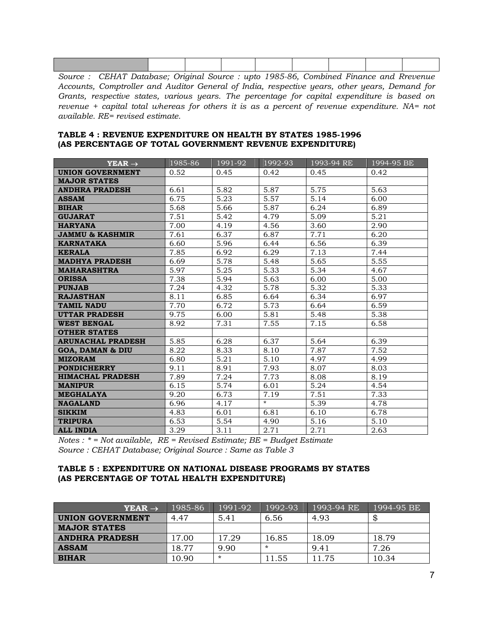| Course : CEILAT Detabase: Original Course : unto 1005.06 Compined Finance and Drougnus |  |  |  |  |
|----------------------------------------------------------------------------------------|--|--|--|--|

*Source : CEHAT Database; Original Source : upto 1985-86, Combined Finance and Rrevenue Accounts, Comptroller and Auditor General of India, respective years, other years, Demand for Grants, respective states, various years. The percentage for capital expenditure is based on revenue + capital total whereas for others it is as a percent of revenue expenditure. NA= not available. RE= revised estimate.* 

#### **TABLE 4 : REVENUE EXPENDITURE ON HEALTH BY STATES 1985-1996 (AS PERCENTAGE OF TOTAL GOVERNMENT REVENUE EXPENDITURE)**

| $YEAR \rightarrow$          | 1985-86 | 1991-92 | 1992-93 | 1993-94 RE | 1994-95 BE |
|-----------------------------|---------|---------|---------|------------|------------|
| <b>UNION GOVERNMENT</b>     | 0.52    | 0.45    | 0.42    | 0.45       | 0.42       |
| <b>MAJOR STATES</b>         |         |         |         |            |            |
| <b>ANDHRA PRADESH</b>       | 6.61    | 5.82    | 5.87    | 5.75       | 5.63       |
| <b>ASSAM</b>                | 6.75    | 5.23    | 5.57    | 5.14       | 6.00       |
| <b>BIHAR</b>                | 5.68    | 5.66    | 5.87    | 6.24       | 6.89       |
| <b>GUJARAT</b>              | 7.51    | 5.42    | 4.79    | 5.09       | 5.21       |
| <b>HARYANA</b>              | 7.00    | 4.19    | 4.56    | 3.60       | 2.90       |
| <b>JAMMU &amp; KASHMIR</b>  | 7.61    | 6.37    | 6.87    | 7.71       | 6.20       |
| <b>KARNATAKA</b>            | 6.60    | 5.96    | 6.44    | 6.56       | 6.39       |
| <b>KERALA</b>               | 7.85    | 6.92    | 6.29    | 7.13       | 7.44       |
| <b>MADHYA PRADESH</b>       | 6.69    | 5.78    | 5.48    | 5.65       | 5.55       |
| <b>MAHARASHTRA</b>          | 5.97    | 5.25    | 5.33    | 5.34       | 4.67       |
| <b>ORISSA</b>               | 7.38    | 5.94    | 5.63    | 6.00       | 5.00       |
| <b>PUNJAB</b>               | 7.24    | 4.32    | 5.78    | 5.32       | 5.33       |
| <b>RAJASTHAN</b>            | 8.11    | 6.85    | 6.64    | 6.34       | 6.97       |
| <b>TAMIL NADU</b>           | 7.70    | 6.72    | 5.73    | 6.64       | 6.59       |
| <b>UTTAR PRADESH</b>        | 9.75    | 6.00    | 5.81    | 5.48       | 5.38       |
| <b>WEST BENGAL</b>          | 8.92    | 7.31    | 7.55    | 7.15       | 6.58       |
| <b>OTHER STATES</b>         |         |         |         |            |            |
| <b>ARUNACHAL PRADESH</b>    | 5.85    | 6.28    | 6.37    | 5.64       | 6.39       |
| <b>GOA, DAMAN &amp; DIU</b> | 8.22    | 8.33    | 8.10    | 7.87       | 7.52       |
| <b>MIZORAM</b>              | 6.80    | 5.21    | 5.10    | 4.97       | 4.99       |
| <b>PONDICHERRY</b>          | 9.11    | 8.91    | 7.93    | 8.07       | 8.03       |
| <b>HIMACHAL PRADESH</b>     | 7.89    | 7.24    | 7.73    | 8.08       | 8.19       |
| <b>MANIPUR</b>              | 6.15    | 5.74    | 6.01    | 5.24       | 4.54       |
| <b>MEGHALAYA</b>            | 9.20    | 6.73    | 7.19    | 7.51       | 7.33       |
| <b>NAGALAND</b>             | 6.96    | 4.17    | $\star$ | 5.39       | 4.78       |
| <b>SIKKIM</b>               | 4.83    | 6.01    | 6.81    | 6.10       | 6.78       |
| <b>TRIPURA</b>              | 6.53    | 5.54    | 4.90    | 5.16       | 5.10       |
| <b>ALL INDIA</b>            | 3.29    | 3.11    | 2.71    | 2.71       | 2.63       |

*Notes : \* = Not available, RE = Revised Estimate; BE = Budget Estimate Source : CEHAT Database; Original Source : Same as Table 3* 

#### **TABLE 5 : EXPENDITURE ON NATIONAL DISEASE PROGRAMS BY STATES (AS PERCENTAGE OF TOTAL HEALTH EXPENDITURE)**

| $YEAR \rightarrow$    | 1985-86 | 1991-92 | $ 1992-93 $ | 1993-94 RE | 1994-95 BE |
|-----------------------|---------|---------|-------------|------------|------------|
| UNION GOVERNMENT      | 4.47    | 5.41    | 6.56        | 4.93       | νD         |
| <b>MAJOR STATES</b>   |         |         |             |            |            |
| <b>ANDHRA PRADESH</b> | 17.00   | 17.29   | 16.85       | 18.09      | 18.79      |
| <b>ASSAM</b>          | 18.77   | 9.90    | $\star$     | 9.41       | 7.26       |
| <b>BIHAR</b>          | 10.90   |         | 11.55       | 11.75      | 10.34      |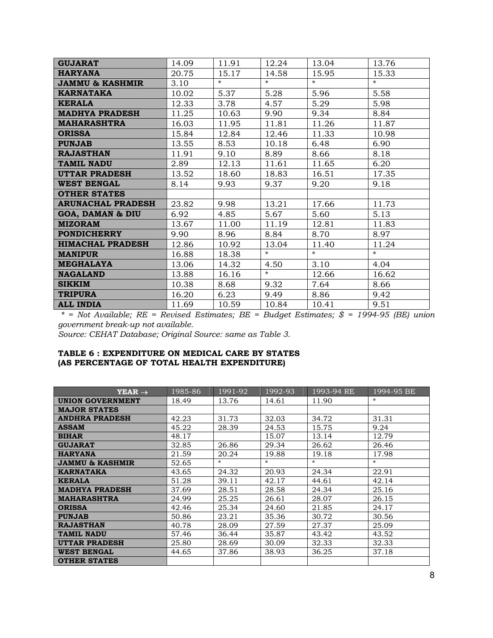| <b>GUJARAT</b>              | 14.09 | 11.91   | 12.24   | 13.04   | 13.76   |
|-----------------------------|-------|---------|---------|---------|---------|
| <b>HARYANA</b>              | 20.75 | 15.17   | 14.58   | 15.95   | 15.33   |
| <b>JAMMU &amp; KASHMIR</b>  | 3.10  | $\star$ | $\star$ | $\star$ | $\star$ |
| <b>KARNATAKA</b>            | 10.02 | 5.37    | 5.28    | 5.96    | 5.58    |
| <b>KERALA</b>               | 12.33 | 3.78    | 4.57    | 5.29    | 5.98    |
| <b>MADHYA PRADESH</b>       | 11.25 | 10.63   | 9.90    | 9.34    | 8.84    |
| <b>MAHARASHTRA</b>          | 16.03 | 11.95   | 11.81   | 11.26   | 11.87   |
| <b>ORISSA</b>               | 15.84 | 12.84   | 12.46   | 11.33   | 10.98   |
| <b>PUNJAB</b>               | 13.55 | 8.53    | 10.18   | 6.48    | 6.90    |
| <b>RAJASTHAN</b>            | 11.91 | 9.10    | 8.89    | 8.66    | 8.18    |
| <b>TAMIL NADU</b>           | 2.89  | 12.13   | 11.61   | 11.65   | 6.20    |
| <b>UTTAR PRADESH</b>        | 13.52 | 18.60   | 18.83   | 16.51   | 17.35   |
| <b>WEST BENGAL</b>          | 8.14  | 9.93    | 9.37    | 9.20    | 9.18    |
| <b>OTHER STATES</b>         |       |         |         |         |         |
| <b>ARUNACHAL PRADESH</b>    | 23.82 | 9.98    | 13.21   | 17.66   | 11.73   |
| <b>GOA, DAMAN &amp; DIU</b> | 6.92  | 4.85    | 5.67    | 5.60    | 5.13    |
| <b>MIZORAM</b>              | 13.67 | 11.00   | 11.19   | 12.81   | 11.83   |
| <b>PONDICHERRY</b>          | 9.90  | 8.96    | 8.84    | 8.70    | 8.97    |
| <b>HIMACHAL PRADESH</b>     | 12.86 | 10.92   | 13.04   | 11.40   | 11.24   |
| <b>MANIPUR</b>              | 16.88 | 18.38   | $\star$ | $\star$ | $\star$ |
| <b>MEGHALAYA</b>            | 13.06 | 14.32   | 4.50    | 3.10    | 4.04    |
| <b>NAGALAND</b>             | 13.88 | 16.16   | $\star$ | 12.66   | 16.62   |
| <b>SIKKIM</b>               | 10.38 | 8.68    | 9.32    | 7.64    | 8.66    |
| <b>TRIPURA</b>              | 16.20 | 6.23    | 9.49    | 8.86    | 9.42    |
| <b>ALL INDIA</b>            | 11.69 | 10.59   | 10.84   | 10.41   | 9.51    |

 *\* = Not Available; RE = Revised Estimates; BE = Budget Estimates; \$ = 1994-95 (BE) union government break-up not available.* 

*Source: CEHAT Database; Original Source: same as Table 3.*

### **TABLE 6 : EXPENDITURE ON MEDICAL CARE BY STATES (AS PERCENTAGE OF TOTAL HEALTH EXPENDITURE)**

| $YEAR \rightarrow$         | 1985-86 | $1991 - 92$ | 1992-93 | 1993-94 RE | 1994-95 BE |
|----------------------------|---------|-------------|---------|------------|------------|
| <b>UNION GOVERNMENT</b>    | 18.49   | 13.76       | 14.61   | 11.90      | $\star$    |
| <b>MAJOR STATES</b>        |         |             |         |            |            |
| <b>ANDHRA PRADESH</b>      | 42.23   | 31.73       | 32.03   | 34.72      | 31.31      |
| <b>ASSAM</b>               | 45.22   | 28.39       | 24.53   | 15.75      | 9.24       |
| <b>BIHAR</b>               | 48.17   |             | 15.07   | 13.14      | 12.79      |
| <b>GUJARAT</b>             | 32.85   | 26.86       | 29.34   | 26.62      | 26.46      |
| <b>HARYANA</b>             | 21.59   | 20.24       | 19.88   | 19.18      | 17.98      |
| <b>JAMMU &amp; KASHMIR</b> | 52.65   | $\star$     | $\star$ | $\star$    | $\star$    |
| <b>KARNATAKA</b>           | 43.65   | 24.32       | 20.93   | 24.34      | 22.91      |
| <b>KERALA</b>              | 51.28   | 39.11       | 42.17   | 44.61      | 42.14      |
| <b>MADHYA PRADESH</b>      | 37.69   | 28.51       | 28.58   | 24.34      | 25.16      |
| <b>MAHARASHTRA</b>         | 24.99   | 25.25       | 26.61   | 28.07      | 26.15      |
| <b>ORISSA</b>              | 42.46   | 25.34       | 24.60   | 21.85      | 24.17      |
| <b>PUNJAB</b>              | 50.86   | 23.21       | 35.36   | 30.72      | 30.56      |
| <b>RAJASTHAN</b>           | 40.78   | 28.09       | 27.59   | 27.37      | 25.09      |
| <b>TAMIL NADU</b>          | 57.46   | 36.44       | 35.87   | 43.42      | 43.52      |
| <b>UTTAR PRADESH</b>       | 25.80   | 28.69       | 30.09   | 32.33      | 32.33      |
| <b>WEST BENGAL</b>         | 44.65   | 37.86       | 38.93   | 36.25      | 37.18      |
| <b>OTHER STATES</b>        |         |             |         |            |            |